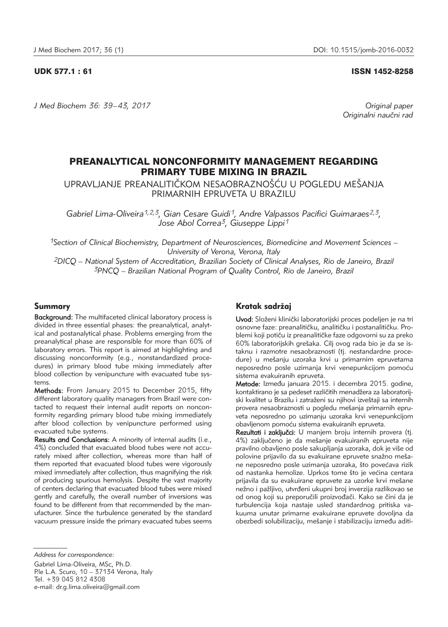### UDK 577.1 : 61 ISSN 1452-8258

*J Med Biochem 36: 39–43, 2017 Original paper*

Originalni naučni rad

# PREANALYTICAL NONCONFORMITY MANAGEMENT REGARDING PRIMARY TUBE MIXING IN BRAZIL

UPRAVLJANJE PREANALITIČKOM NESAOBRAZNOŠĆU U POGLEDU MEŠANJA PRIMARNIH EPRUVETA U BRAZILU

Gabriel Lima-Oliveira<sup>1,2,3</sup>, Gian Cesare Guidi<sup>1</sup>, Andre Valpassos Pacifici Guimaraes<sup>2,3</sup>, *Jose Abol Correa3, Giuseppe Lippi1*

*1Section of Clinical Biochemistry, Department of Neurosciences, Biomedicine and Movement Sciences – University of Verona, Verona, Italy*

*2DICQ – National System of Accreditation, Brazilian Society of Clinical Analyses, Rio de Janeiro, Brazil 3PNCQ – Brazilian National Program of Quality Control, Rio de Janeiro, Brazil*

## Summary

Background: The multifaceted clinical laboratory process is divided in three essential phases: the preanalytical, analytical and postanalytical phase. Problems emerging from the preanalytical phase are responsible for more than 60% of laboratory errors. This report is aimed at highlighting and discussing nonconformity (e.g., nonstandardized procedures) in primary blood tube mixing immediately after blood collection by venipuncture with evacuated tube systems.

Methods: From January 2015 to December 2015, fifty different laboratory quality managers from Brazil were contacted to request their internal audit reports on nonconformity regarding primary blood tube mixing immediately after blood collection by venipuncture performed using evacuated tube systems.

Results and Conclusions: A minority of internal audits (i.e., 4%) concluded that evacuated blood tubes were not accurately mixed after collection, whereas more than half of them reported that evacuated blood tubes were vigorously mixed immediately after collection, thus magnifying the risk of producing spurious hemolysis. Despite the vast majority of centers declaring that evacuated blood tubes were mixed gently and carefully, the overall number of inversions was found to be different from that recommended by the manufacturer. Since the turbulence generated by the standard vacuum pressure inside the primary evacuated tubes seems

# Kratak sadržaj

Uvod: Složeni klinički laboratorijski proces podeljen je na tri osnovne faze: preanalitičku, analitičku i postanalitičku. Problemi koji potiču iz preanalitičke faze odgovorni su za preko 60% laboratorijskih grešaka. Cilj ovog rada bio je da se ista knu i razmotre nesaobraznosti (tj. nestandardne procedure) u mešanju uzoraka krvi u primarnim epruvetama neposredno posle uzimanja krvi venepunkcijom pomoću sistema evakuiranih epruveta.

Metode: Između januara 2015. i decembra 2015. godine. kontaktirano je sa pedeset različitih menadžera za laboratorijski kvalitet u Brazilu i zatraženi su njihovi izveštaji sa internih provera nesaobraznosti u pogledu mešanja primarnih epruveta neposredno po uzimanju uzoraka krvi venepunkcijom obavlienom pomoću sistema evakuiranih epruveta.

Rezultati i zaključci: U manjem broju internih provera (tj. 4%) zaključeno je da mešanje evakuiranih epruveta nije pravilno obavljeno posle sakupljanja uzoraka, dok je više od polovine prijavilo da su evakuirane epruvete snažno mešane neposredno posle uzimanja uzoraka, što povećava rizik od nastanka hemolize. Uprkos tome što je većina centara prijavila da su evakuirane epruvete za uzorke krvi mešane nežno i pažljivo, utvrđeni ukupni broj inverzija razlikovao se od onog koji su preporučili proizvođači. Kako se čini da je turbulencija koja nastaje usled standardnog pritiska vakuuma unutar primarne evakuirane epruvete dovoljna da obezbedi solubilizaciju, mešanje i stabilizaciju između aditi-

*Address for correspondence:*

Gabriel Lima-Oliveira, MSc, Ph.D. P.le L.A. Scuro, 10 – 37134 Verona, Italy Tel. +39 045 812 4308 e-mail: dr.g.lima.oliveira@gmail.com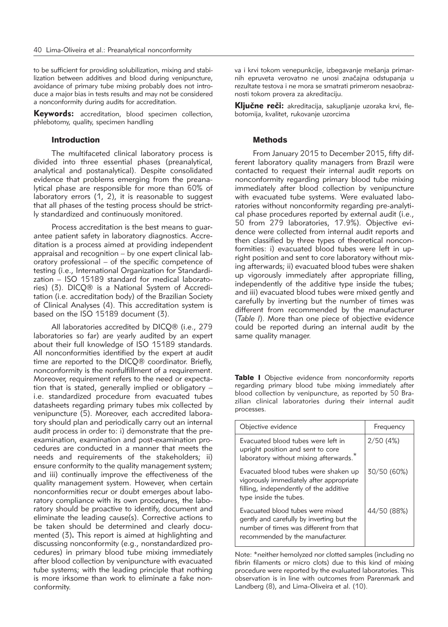to be sufficient for providing solubilization, mixing and stabilization between additives and blood during venipuncture, avoidance of primary tube mixing probably does not introduce a major bias in tests results and may not be considered a nonconformity during audits for accreditation.

Keywords: accreditation, blood specimen collection, phlebotomy, quality, specimen handling

### **Introduction**

The multifaceted clinical laboratory process is divided into three essential phases (preanalytical, analytical and postanalytical). Despite consolidated evidence that problems emerging from the preanalytical phase are responsible for more than 60% of laboratory errors  $(1, 2)$ , it is reasonable to suggest that all phases of the testing process should be strictly standardized and continuously monitored.

Process accreditation is the best means to guarantee patient safety in laboratory diagnostics. Accreditation is a process aimed at providing independent appraisal and recognition – by one expert clinical laboratory professional – of the specific competence of testing (i.e., International Organization for Standardization – ISO 15189 standard for medical laboratories) (3). DICQ® is a National System of Accreditation (i.e. accreditation body) of the Brazilian Society of Clinical Analyses (4). This accreditation system is based on the ISO 15189 document (3).

All laboratories accredited by DICQ® (i.e., 279 laboratories so far) are yearly audited by an expert about their full knowledge of ISO 15189 standards. All nonconformities identified by the expert at audit time are reported to the DICQ® coordinator. Briefly, nonconformity is the nonfulfillment of a requirement. Moreover, requirement refers to the need or expectation that is stated, generally implied or obligatory – i.e. standardized procedure from evacuated tubes datasheets regarding primary tubes mix collected by venipuncture (5). Moreover, each accredited laboratory should plan and periodically carry out an internal audit process in order to: i) demonstrate that the preexamination, examination and post-examination procedures are conducted in a manner that meets the needs and requirements of the stakeholders; ii) ensure conformity to the quality management system; and iii) continually improve the effectiveness of the quality management system. However, when certain nonconformities recur or doubt emerges about laboratory compliance with its own procedures, the laboratory should be proactive to identify, document and eliminate the leading cause(s). Corrective actions to be taken should be determined and clearly documented (3)**.** This report is aimed at highlighting and discussing nonconformity (e.g., nonstandardized procedures) in primary blood tube mixing immediately after blood collection by venipuncture with evacuated tube systems; with the leading principle that nothing is more irksome than work to eliminate a fake nonconformity.

va i krvi tokom venepunkcije, izbegavanje mešanja primarnih epruveta verovatno ne unosi značajna odstupanja u rezultate testova i ne mora se smatrati primerom nesaobraznosti tokom provera za akreditaciju.

Ključne reči: akreditacija, sakupljanje uzoraka krvi, flebotomija, kvalitet, rukovanje uzorcima

### Methods

From January 2015 to December 2015, fifty different laboratory quality managers from Brazil were contacted to request their internal audit reports on nonconformity regarding primary blood tube mixing immediately after blood collection by venipuncture with evacuated tube systems. Were evaluated laboratories without nonconformity regarding pre-analytical phase procedures reported by external audit (i.e., 50 from 279 laboratories, 17.9%). Objective evidence were collected from internal audit reports and then classified by three types of theoretical nonconformities: i) evacuated blood tubes were left in upright position and sent to core laboratory without mixing afterwards; ii) evacuated blood tubes were shaken up vigorously immediately after appropriate filling, independently of the additive type inside the tubes; and iii) evacuated blood tubes were mixed gently and carefully by inverting but the number of times was different from recommended by the manufacturer (*Table I*). More than one piece of objective evidence could be reported during an internal audit by the same quality manager.

Table I Objective evidence from nonconformity reports regarding primary blood tube mixing immediately after blood collection by venipuncture, as reported by 50 Brazilian clinical laboratories during their internal audit processes.

| Objective evidence                                                                                                                                           | Frequency   |
|--------------------------------------------------------------------------------------------------------------------------------------------------------------|-------------|
| Evacuated blood tubes were left in<br>upright position and sent to core<br>laboratory without mixing afterwards.                                             | 2/50(4%)    |
| Evacuated blood tubes were shaken up<br>vigorously immediately after appropriate<br>filling, independently of the additive<br>type inside the tubes.         | 30/50 (60%) |
| Evacuated blood tubes were mixed<br>gently and carefully by inverting but the<br>number of times was different from that<br>recommended by the manufacturer. | 44/50 (88%) |

Note: \*neither hemolyzed nor clotted samples (including no fibrin filaments or micro clots) due to this kind of mixing procedure were reported by the evaluated laboratories. This observation is in line with outcomes from Parenmark and Landberg (8), and Lima-Oliveira et al. (10).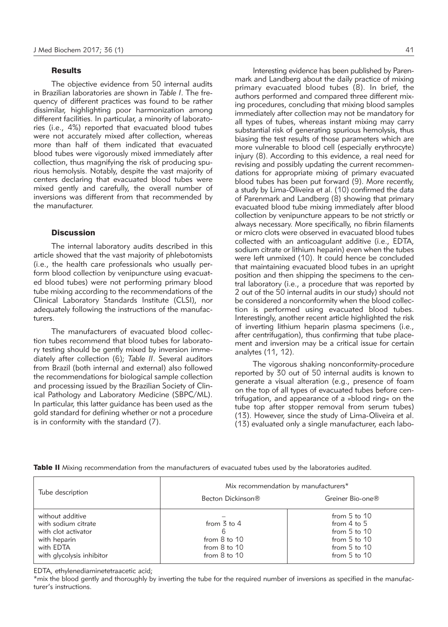#### **Results**

The objective evidence from 50 internal audits in Brazilian laboratories are shown in *Table I*. The frequency of different practices was found to be rather dissimilar, highlighting poor harmonization among different facilities. In particular, a minority of laboratories (i.e., 4%) reported that evacuated blood tubes were not accurately mixed after collection, whereas more than half of them indicated that evacuated blood tubes were vigorously mixed immediately after collection, thus magnifying the risk of producing spurious hemolysis. Notably, despite the vast majority of centers declaring that evacuated blood tubes were mixed gently and carefully, the overall number of inversions was different from that recommended by the manufacturer.

# **Discussion**

The internal laboratory audits described in this article showed that the vast majority of phlebotomists (i.e., the health care professionals who usually perform blood collection by venipuncture using evacuated blood tubes) were not performing primary blood tube mixing according to the recommendations of the Clinical Laboratory Standards Institute (CLSI), nor adequately following the instructions of the manufacturers.

The manufacturers of evacuated blood collection tubes recommend that blood tubes for laboratory testing should be gently mixed by inversion immediately after collection (6); *Table II*. Several auditors from Brazil (both internal and external) also followed the recommendations for biological sample collection and processing issued by the Brazilian Society of Clinical Pathology and Laboratory Medicine (SBPC/ML). In particular, this latter guidance has been used as the gold standard for defining whether or not a procedure is in conformity with the standard (7).

Interesting evidence has been published by Parenmark and Landberg about the daily practice of mixing primary evacuated blood tubes (8). In brief, the authors performed and compared three different mixing procedures, concluding that mixing blood samples immediately after collection may not be mandatory for all types of tubes, whereas instant mixing may carry substantial risk of generating spurious hemolysis, thus biasing the test results of those parameters which are more vulnerable to blood cell (especially erythrocyte) injury (8). According to this evidence, a real need for revising and possibly updating the current recommendations for appropriate mixing of primary evacuated blood tubes has been put forward (9). More recently, a study by Lima-Oliveira et al. (10) confirmed the data of Parenmark and Landberg (8) showing that primary evacuated blood tube mixing immediately after blood collection by venipuncture appears to be not strictly or always necessary. More specifically, no fibrin filaments or micro clots were observed in evacuated blood tubes collected with an anticoagulant additive (i.e., EDTA, sodium citrate or lithium heparin) even when the tubes were left unmixed (10). It could hence be concluded that maintaining evacuated blood tubes in an upright position and then shipping the specimens to the central laboratory (i.e., a procedure that was reported by 2 out of the 50 internal audits in our study) should not be considered a nonconformity when the blood collection is performed using evacuated blood tubes. Interestingly, another recent article highlighted the risk of inverting lithium heparin plasma specimens (i.e., after centrifugation), thus confirming that tube placement and inversion may be a critical issue for certain analytes (11, 12).

The vigorous shaking nonconformity-procedure reported by 30 out of 50 internal audits is known to generate a visual alteration (e.g., presence of foam on the top of all types of evacuated tubes before centrifugation, and appearance of a »blood ring« on the tube top after stopper removal from serum tubes) (13). However, since the study of Lima-Oliveira et al. (13) evaluated only a single manufacturer, each labo-

|                                                                                                                          | Mix recommendation by manufacturers*                                                                   |                                                                                                                     |
|--------------------------------------------------------------------------------------------------------------------------|--------------------------------------------------------------------------------------------------------|---------------------------------------------------------------------------------------------------------------------|
| Tube description                                                                                                         | Becton Dickinson®                                                                                      | Greiner Bio-one®                                                                                                    |
| without additive<br>with sodium citrate<br>with clot activator<br>with heparin<br>with EDTA<br>with glycolysis inhibitor | from $\overline{3}$ to $\overline{4}$<br>6<br>from $8$ to $10$<br>from $8$ to $10$<br>from $8$ to $10$ | from $5$ to $10$<br>from $4$ to $5$<br>from $5$ to $10$<br>from $5$ to $10$<br>from $5$ to $10$<br>from $5$ to $10$ |

Table II Mixing recommendation from the manufacturers of evacuated tubes used by the laboratories audited.

EDTA, ethylenediaminetetraacetic acid;

\*mix the blood gently and thoroughly by inverting the tube for the required number of inversions as specified in the manufacturer's instructions.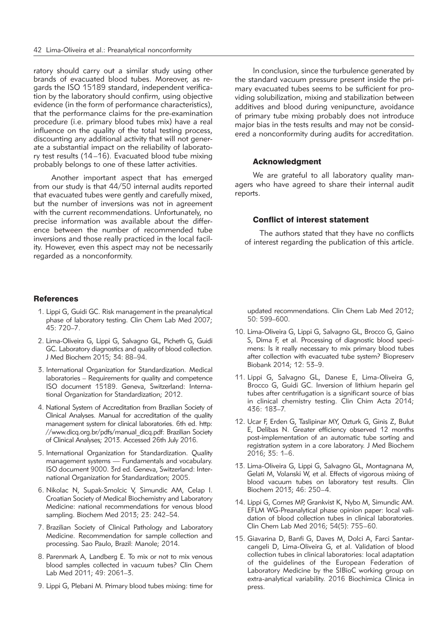ratory should carry out a similar study using other brands of evacuated blood tubes. Moreover, as regards the ISO 15189 standard, independent verification by the laboratory should confirm, using objective evidence (in the form of performance characteristics), that the performance claims for the pre-examination procedure (i.e. primary blood tubes mix) have a real influence on the quality of the total testing process, discounting any additional activity that will not generate a substantial impact on the reliability of laboratory test results (14–16). Evacuated blood tube mixing probably belongs to one of these latter activities.

Another important aspect that has emerged from our study is that 44/50 internal audits reported that evacuated tubes were gently and carefully mixed, but the number of inversions was not in agreement with the current recommendations. Unfortunately, no precise information was available about the difference between the number of recommended tube inversions and those really practiced in the local facility. However, even this aspect may not be necessarily regarded as a nonconformity.

### **References**

- 1. Lippi G, Guidi GC. Risk management in the preanalytical phase of laboratory testing. Clin Chem Lab Med 2007;  $45:720 - 7$
- 2. Lima-Oliveira G, Lippi G, Salvagno GL, Picheth G, Guidi GC. Laboratory diagnostics and quality of blood collection. J Med Biochem 2015; 34: 88–94.
- 3. International Organization for Standardization. Medical laboratories – Requirements for quality and competence ISO document 15189. Geneva, Switzerland: International Organization for Standardization; 2012.
- 4. National System of Accreditation from Brazilian Society of Clinical Analyses. Manual for accreditation of the quality management system for clinical laboratories. 6th ed. http: //www.dicq.org.br/pdfs/manual\_dicq.pdf: Brazilian Society of Clinical Analyses; 2013. Accessed 26th July 2016.
- 5. International Organization for Standardization. Quality management systems — Fundamentals and vocabulary. ISO document 9000. 3rd ed. Geneva, Switzerland: Inter national Organization for Standardization; 2005.
- 6. Nikolac N, Supak-Smolcic V, Simundic AM, Celap I. Croatian Society of Medical Biochemistry and Laboratory Medicine: national recommendations for venous blood sampling. Biochem Med 2013; 23: 242–54.
- 7. Brazilian Society of Clinical Pathology and Laboratory Medicine. Recommendation for sample collection and processing. Sao Paulo, Brazil: Manole; 2014.
- 8. Parenmark A, Landberg E. To mix or not to mix venous blood samples collected in vacuum tubes? Clin Chem Lab Med 2011; 49: 2061–3.
- 9. Lippi G, Plebani M. Primary blood tubes mixing: time for

In conclusion, since the turbulence generated by the standard vacuum pressure present inside the primary evacuated tubes seems to be sufficient for providing solubilization, mixing and stabilization between additives and blood during venipuncture, avoidance of primary tube mixing probably does not introduce major bias in the tests results and may not be considered a nonconformity during audits for accreditation.

# Acknowledgment

We are grateful to all laboratory quality managers who have agreed to share their internal audit reports.

## Conflict of interest statement

The authors stated that they have no conflicts of interest regarding the publication of this article.

updated recommendations. Clin Chem Lab Med 2012; 50: 599–600.

- 10. Lima-Oliveira G, Lippi G, Salvagno GL, Brocco G, Gaino S, Dima F, et al. Processing of diagnostic blood specimens: Is it really necessary to mix primary blood tubes after collection with evacuated tube system? Biopreserv Biobank 2014; 12: 53–9.
- 11. Lippi G, Salvagno GL, Danese E, Lima-Oliveira G, Brocco G, Guidi GC. Inversion of lithium heparin gel tubes after centrifugation is a significant source of bias in clinical chemistry testing. Clin Chim Acta 2014; 436: 183–7.
- 12. Ucar F, Erden G, Taslipinar MY, Ozturk G, Ginis Z, Bulut E, Delibas N. Greater efficiency observed 12 months post-implementation of an automatic tube sorting and registration system in a core laboratory. J Med Biochem 2016; 35: 1–6.
- 13. Lima-Oliveira G, Lippi G, Salvagno GL, Montagnana M, Gelati M, Volanski W, et al. Effects of vigorous mixing of blood vacuum tubes on laboratory test results. Clin Biochem 2013; 46: 250–4.
- 14. Lippi G, Cornes MP, Grankvist K, Nybo M, Simundic AM. EFLM WG-Preanalytical phase opinion paper: local validation of blood collection tubes in clinical laboratories. Clin Chem Lab Med 2016; 54(5): 755–60.
- 15. Giavarina D, Banfi G, Daves M, Dolci A, Farci Santarcangeli D, Lima-Oliveira G, et al. Validation of blood collection tubes in clinical laboratories: local adaptation of the guidelines of the European Federation of Laboratory Medicine by the SIBioC working group on extra-analytical variability. 2016 Biochimica Clinica in press.